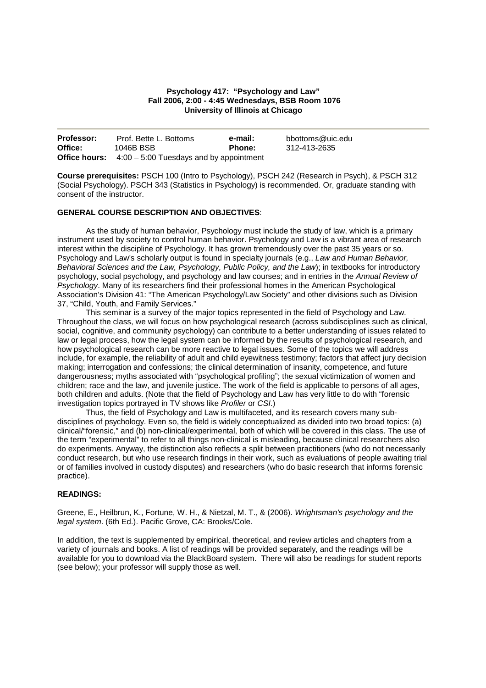## **Psychology 417: "Psychology and Law" Fall 2006, 2:00 - 4:45 Wednesdays, BSB Room 1076 University of Illinois at Chicago**

| <b>Professor:</b> | Prof. Bette L. Bottoms                                         | e-mail: | bbottoms@uic.edu |
|-------------------|----------------------------------------------------------------|---------|------------------|
| Office:           | 1046B BSB                                                      | Phone:  | 312-413-2635     |
|                   | <b>Office hours:</b> $4:00 - 5:00$ Tuesdays and by appointment |         |                  |

**Course prerequisites:** PSCH 100 (Intro to Psychology), PSCH 242 (Research in Psych), & PSCH 312 (Social Psychology). PSCH 343 (Statistics in Psychology) is recommended. Or, graduate standing with consent of the instructor.

# **GENERAL COURSE DESCRIPTION AND OBJECTIVES**:

As the study of human behavior, Psychology must include the study of law, which is a primary instrument used by society to control human behavior. Psychology and Law is a vibrant area of research interest within the discipline of Psychology. It has grown tremendously over the past 35 years or so. Psychology and Law's scholarly output is found in specialty journals (e.g., Law and Human Behavior, Behavioral Sciences and the Law, Psychology, Public Policy, and the Law); in textbooks for introductory psychology, social psychology, and psychology and law courses; and in entries in the Annual Review of Psychology. Many of its researchers find their professional homes in the American Psychological Association's Division 41: "The American Psychology/Law Society" and other divisions such as Division 37, "Child, Youth, and Family Services."

This seminar is a survey of the major topics represented in the field of Psychology and Law. Throughout the class, we will focus on how psychological research (across subdisciplines such as clinical, social, cognitive, and community psychology) can contribute to a better understanding of issues related to law or legal process, how the legal system can be informed by the results of psychological research, and how psychological research can be more reactive to legal issues. Some of the topics we will address include, for example, the reliability of adult and child eyewitness testimony; factors that affect jury decision making; interrogation and confessions; the clinical determination of insanity, competence, and future dangerousness; myths associated with "psychological profiling"; the sexual victimization of women and children; race and the law, and juvenile justice. The work of the field is applicable to persons of all ages, both children and adults. (Note that the field of Psychology and Law has very little to do with "forensic investigation topics portrayed in TV shows like Profiler or CSI.)

Thus, the field of Psychology and Law is multifaceted, and its research covers many subdisciplines of psychology. Even so, the field is widely conceptualized as divided into two broad topics: (a) clinical/"forensic," and (b) non-clinical/experimental, both of which will be covered in this class. The use of the term "experimental" to refer to all things non-clinical is misleading, because clinical researchers also do experiments. Anyway, the distinction also reflects a split between practitioners (who do not necessarily conduct research, but who use research findings in their work, such as evaluations of people awaiting trial or of families involved in custody disputes) and researchers (who do basic research that informs forensic practice).

### **READINGS:**

Greene, E., Heilbrun, K., Fortune, W. H., & Nietzal, M. T., & (2006). Wrightsman's psychology and the legal system. (6th Ed.). Pacific Grove, CA: Brooks/Cole.

In addition, the text is supplemented by empirical, theoretical, and review articles and chapters from a variety of journals and books. A list of readings will be provided separately, and the readings will be available for you to download via the BlackBoard system. There will also be readings for student reports (see below); your professor will supply those as well.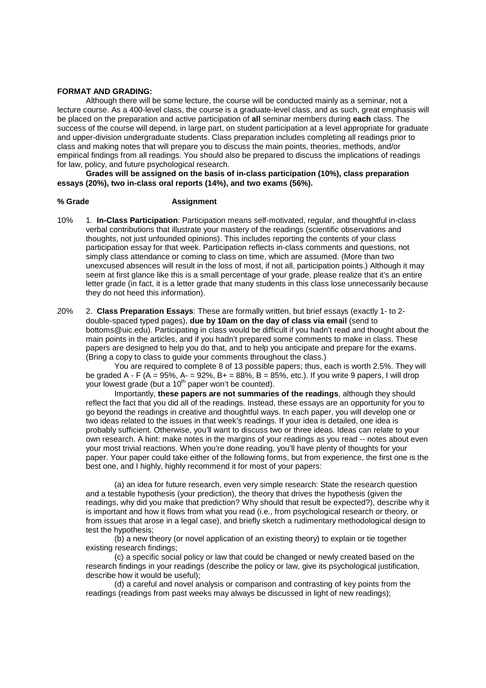#### **FORMAT AND GRADING:**

Although there will be some lecture, the course will be conducted mainly as a seminar, not a lecture course. As a 400-level class, the course is a graduate-level class, and as such, great emphasis will be placed on the preparation and active participation of **all** seminar members during **each** class. The success of the course will depend, in large part, on student participation at a level appropriate for graduate and upper-division undergraduate students. Class preparation includes completing all readings prior to class and making notes that will prepare you to discuss the main points, theories, methods, and/or empirical findings from all readings. You should also be prepared to discuss the implications of readings for law, policy, and future psychological research.

**Grades will be assigned on the basis of in-class participation (10%), class preparation essays (20%), two in-class oral reports (14%), and two exams (56%).** 

### **% Grade Assignment**

- 10% 1. **In-Class Participation**: Participation means self-motivated, regular, and thoughtful in-class verbal contributions that illustrate your mastery of the readings (scientific observations and thoughts, not just unfounded opinions). This includes reporting the contents of your class participation essay for that week. Participation reflects in-class comments and questions, not simply class attendance or coming to class on time, which are assumed. (More than two unexcused absences will result in the loss of most, if not all, participation points.) Although it may seem at first glance like this is a small percentage of your grade, please realize that it's an entire letter grade (in fact, it is a letter grade that many students in this class lose unnecessarily because they do not heed this information).
- 20% 2. **Class Preparation Essays**: These are formally written, but brief essays (exactly 1- to 2 double-spaced typed pages), **due by 10am on the day of class via email** (send to bottoms@uic.edu). Participating in class would be difficult if you hadn't read and thought about the main points in the articles, and if you hadn't prepared some comments to make in class. These papers are designed to help you do that, and to help you anticipate and prepare for the exams. (Bring a copy to class to guide your comments throughout the class.)

You are required to complete 8 of 13 possible papers; thus, each is worth 2.5%. They will be graded A - F (A = 95%, A - = 92%, B + = 88%, B = 85%, etc.). If you write 9 papers, I will drop your lowest grade (but a 10<sup>th</sup> paper won't be counted).

Importantly, **these papers are not summaries of the readings**, although they should reflect the fact that you did all of the readings. Instead, these essays are an opportunity for you to go beyond the readings in creative and thoughtful ways. In each paper, you will develop one or two ideas related to the issues in that week's readings. If your idea is detailed, one idea is probably sufficient. Otherwise, you'll want to discuss two or three ideas. Ideas can relate to your own research. A hint: make notes in the margins of your readings as you read -- notes about even your most trivial reactions. When you're done reading, you'll have plenty of thoughts for your paper. Your paper could take either of the following forms, but from experience, the first one is the best one, and I highly, highly recommend it for most of your papers:

(a) an idea for future research, even very simple research: State the research question and a testable hypothesis (your prediction), the theory that drives the hypothesis (given the readings, why did you make that prediction? Why should that result be expected?), describe why it is important and how it flows from what you read (i.e., from psychological research or theory, or from issues that arose in a legal case), and briefly sketch a rudimentary methodological design to test the hypothesis;

(b) a new theory (or novel application of an existing theory) to explain or tie together existing research findings;

(c) a specific social policy or law that could be changed or newly created based on the research findings in your readings (describe the policy or law, give its psychological justification, describe how it would be useful);

(d) a careful and novel analysis or comparison and contrasting of key points from the readings (readings from past weeks may always be discussed in light of new readings);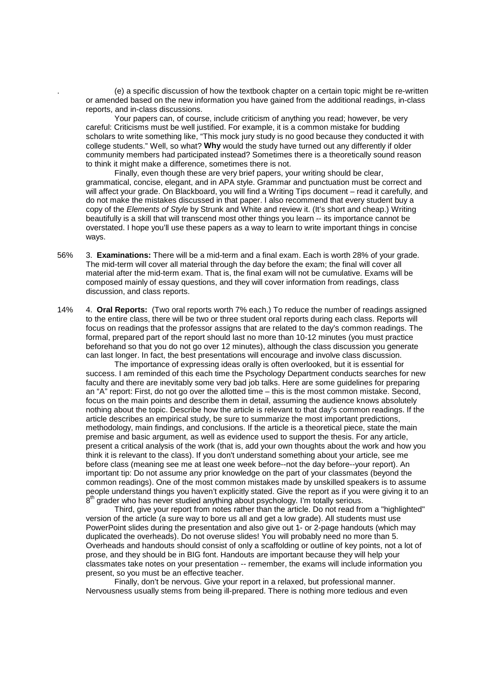. (e) a specific discussion of how the textbook chapter on a certain topic might be re-written or amended based on the new information you have gained from the additional readings, in-class reports, and in-class discussions.

Your papers can, of course, include criticism of anything you read; however, be very careful: Criticisms must be well justified. For example, it is a common mistake for budding scholars to write something like, "This mock jury study is no good because they conducted it with college students." Well, so what? **Why** would the study have turned out any differently if older community members had participated instead? Sometimes there is a theoretically sound reason to think it might make a difference, sometimes there is not.

Finally, even though these are very brief papers, your writing should be clear, grammatical, concise, elegant, and in APA style. Grammar and punctuation must be correct and will affect your grade. On Blackboard, you will find a Writing Tips document – read it carefully, and do not make the mistakes discussed in that paper. I also recommend that every student buy a copy of the Elements of Style by Strunk and White and review it. (It's short and cheap.) Writing beautifully is a skill that will transcend most other things you learn -- its importance cannot be overstated. I hope you'll use these papers as a way to learn to write important things in concise ways.

- 56% 3. **Examinations:** There will be a mid-term and a final exam. Each is worth 28% of your grade. The mid-term will cover all material through the day before the exam; the final will cover all material after the mid-term exam. That is, the final exam will not be cumulative. Exams will be composed mainly of essay questions, and they will cover information from readings, class discussion, and class reports.
- 14% 4. **Oral Reports:** (Two oral reports worth 7% each.) To reduce the number of readings assigned to the entire class, there will be two or three student oral reports during each class. Reports will focus on readings that the professor assigns that are related to the day's common readings. The formal, prepared part of the report should last no more than 10-12 minutes (you must practice beforehand so that you do not go over 12 minutes), although the class discussion you generate can last longer. In fact, the best presentations will encourage and involve class discussion.

 The importance of expressing ideas orally is often overlooked, but it is essential for success. I am reminded of this each time the Psychology Department conducts searches for new faculty and there are inevitably some very bad job talks. Here are some guidelines for preparing an "A" report: First, do not go over the allotted time – this is the most common mistake. Second, focus on the main points and describe them in detail, assuming the audience knows absolutely nothing about the topic. Describe how the article is relevant to that day's common readings. If the article describes an empirical study, be sure to summarize the most important predictions, methodology, main findings, and conclusions. If the article is a theoretical piece, state the main premise and basic argument, as well as evidence used to support the thesis. For any article, present a critical analysis of the work (that is, add your own thoughts about the work and how you think it is relevant to the class). If you don't understand something about your article, see me before class (meaning see me at least one week before--not the day before--your report). An important tip: Do not assume any prior knowledge on the part of your classmates (beyond the common readings). One of the most common mistakes made by unskilled speakers is to assume people understand things you haven't explicitly stated. Give the report as if you were giving it to an .<sup>th</sup> grader who has never studied anything about psychology. I'm totally serious.

Third, give your report from notes rather than the article. Do not read from a "highlighted" version of the article (a sure way to bore us all and get a low grade). All students must use PowerPoint slides during the presentation and also give out 1- or 2-page handouts (which may duplicated the overheads). Do not overuse slides! You will probably need no more than 5. Overheads and handouts should consist of only a scaffolding or outline of key points, not a lot of prose, and they should be in BIG font. Handouts are important because they will help your classmates take notes on your presentation -- remember, the exams will include information you present, so you must be an effective teacher.

Finally, don't be nervous. Give your report in a relaxed, but professional manner. Nervousness usually stems from being ill-prepared. There is nothing more tedious and even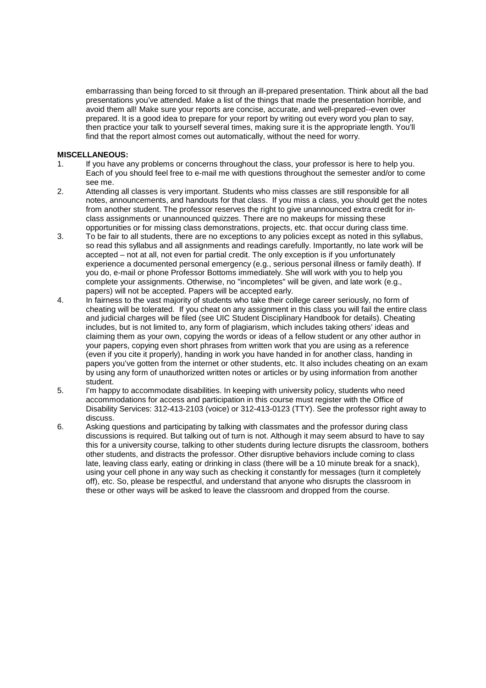embarrassing than being forced to sit through an ill-prepared presentation. Think about all the bad presentations you've attended. Make a list of the things that made the presentation horrible, and avoid them all! Make sure your reports are concise, accurate, and well-prepared--even over prepared. It is a good idea to prepare for your report by writing out every word you plan to say, then practice your talk to yourself several times, making sure it is the appropriate length. You'll find that the report almost comes out automatically, without the need for worry.

# **MISCELLANEOUS:**

- 1. If you have any problems or concerns throughout the class, your professor is here to help you. Each of you should feel free to e-mail me with questions throughout the semester and/or to come see me.
- 2. Attending all classes is very important. Students who miss classes are still responsible for all notes, announcements, and handouts for that class. If you miss a class, you should get the notes from another student. The professor reserves the right to give unannounced extra credit for inclass assignments or unannounced quizzes. There are no makeups for missing these opportunities or for missing class demonstrations, projects, etc. that occur during class time.
- 3. To be fair to all students, there are no exceptions to any policies except as noted in this syllabus, so read this syllabus and all assignments and readings carefully. Importantly, no late work will be accepted – not at all, not even for partial credit. The only exception is if you unfortunately experience a documented personal emergency (e.g., serious personal illness or family death). If you do, e-mail or phone Professor Bottoms immediately. She will work with you to help you complete your assignments. Otherwise, no "incompletes" will be given, and late work (e.g., papers) will not be accepted. Papers will be accepted early.
- 4. In fairness to the vast majority of students who take their college career seriously, no form of cheating will be tolerated. If you cheat on any assignment in this class you will fail the entire class and judicial charges will be filed (see UIC Student Disciplinary Handbook for details). Cheating includes, but is not limited to, any form of plagiarism, which includes taking others' ideas and claiming them as your own, copying the words or ideas of a fellow student or any other author in your papers, copying even short phrases from written work that you are using as a reference (even if you cite it properly), handing in work you have handed in for another class, handing in papers you've gotten from the internet or other students, etc. It also includes cheating on an exam by using any form of unauthorized written notes or articles or by using information from another student.
- 5. I'm happy to accommodate disabilities. In keeping with university policy, students who need accommodations for access and participation in this course must register with the Office of Disability Services: 312-413-2103 (voice) or 312-413-0123 (TTY). See the professor right away to discuss.
- 6. Asking questions and participating by talking with classmates and the professor during class discussions is required. But talking out of turn is not. Although it may seem absurd to have to say this for a university course, talking to other students during lecture disrupts the classroom, bothers other students, and distracts the professor. Other disruptive behaviors include coming to class late, leaving class early, eating or drinking in class (there will be a 10 minute break for a snack), using your cell phone in any way such as checking it constantly for messages (turn it completely off), etc. So, please be respectful, and understand that anyone who disrupts the classroom in these or other ways will be asked to leave the classroom and dropped from the course.